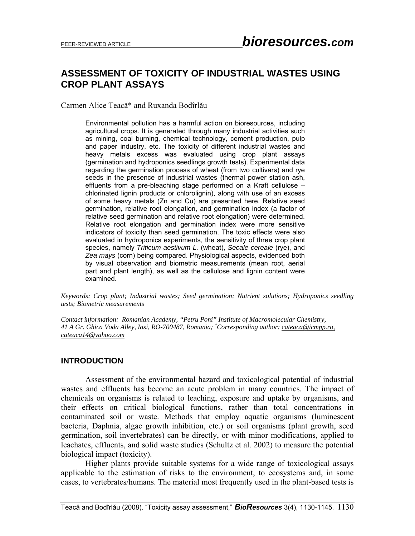# **ASSESSMENT OF TOXICITY OF INDUSTRIAL WASTES USING CROP PLANT ASSAYS**

Carmen Alice Teacă\* and Ruxanda Bodîrlău

Environmental pollution has a harmful action on bioresources, including agricultural crops. It is generated through many industrial activities such as mining, coal burning, chemical technology, cement production, pulp and paper industry, etc. The toxicity of different industrial wastes and heavy metals excess was evaluated using crop plant assays (germination and hydroponics seedlings growth tests). Experimental data regarding the germination process of wheat (from two cultivars) and rye seeds in the presence of industrial wastes (thermal power station ash, effluents from a pre-bleaching stage performed on a Kraft cellulose – chlorinated lignin products or chlorolignin), along with use of an excess of some heavy metals (Zn and Cu) are presented here. Relative seed germination, relative root elongation, and germination index (a factor of relative seed germination and relative root elongation) were determined. Relative root elongation and germination index were more sensitive indicators of toxicity than seed germination. The toxic effects were also evaluated in hydroponics experiments, the sensitivity of three crop plant species, namely *Triticum aestivum L.* (wheat), *Secale cereale* (rye), and *Zea mays* (corn) being compared. Physiological aspects, evidenced both by visual observation and biometric measurements (mean root, aerial part and plant length), as well as the cellulose and lignin content were examined.

*Keywords: Crop plant; Industrial wastes; Seed germination; Nutrient solutions; Hydroponics seedling tests; Biometric measurements*

*Contact information: Romanian Academy, "Petru Poni" Institute of Macromolecular Chemistry, 41 A Gr. Ghica Voda Alley, Iasi, RO-700487, Romania; \* Corresponding author: cateaca@icmpp.ro, cateaca14@yahoo.com* 

#### **INTRODUCTION**

 Assessment of the environmental hazard and toxicological potential of industrial wastes and effluents has become an acute problem in many countries. The impact of chemicals on organisms is related to leaching, exposure and uptake by organisms, and their effects on critical biological functions, rather than total concentrations in contaminated soil or waste. Methods that employ aquatic organisms (luminescent bacteria, Daphnia, algae growth inhibition, etc.) or soil organisms (plant growth, seed germination, soil invertebrates) can be directly, or with minor modifications, applied to leachates, effluents, and solid waste studies (Schultz et al. 2002) to measure the potential biological impact (toxicity).

Higher plants provide suitable systems for a wide range of toxicological assays applicable to the estimation of risks to the environment, to ecosystems and, in some cases, to vertebrates/humans. The material most frequently used in the plant-based tests is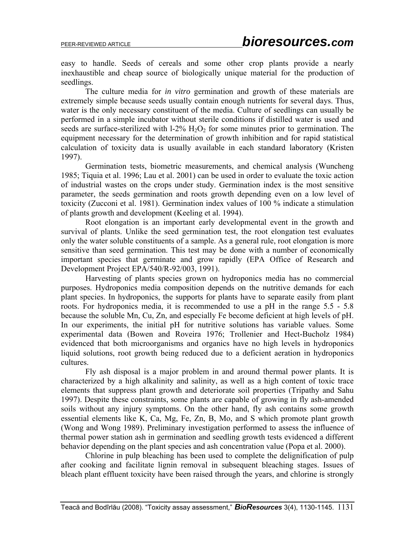easy to handle. Seeds of cereals and some other crop plants provide a nearly inexhaustible and cheap source of biologically unique material for the production of seedlings.

The culture media for *in vitro* germination and growth of these materials are extremely simple because seeds usually contain enough nutrients for several days. Thus, water is the only necessary constituent of the media. Culture of seedlings can usually be performed in a simple incubator without sterile conditions if distilled water is used and seeds are surface-sterilized with  $1-2\%$  H<sub>2</sub>O<sub>2</sub> for some minutes prior to germination. The equipment necessary for the determination of growth inhibition and for rapid statistical calculation of toxicity data is usually available in each standard laboratory (Kristen 1997).

Germination tests, biometric measurements, and chemical analysis (Wuncheng 1985; Tiquia et al. 1996; Lau et al. 2001) can be used in order to evaluate the toxic action of industrial wastes on the crops under study. Germination index is the most sensitive parameter, the seeds germination and roots growth depending even on a low level of toxicity (Zucconi et al. 1981). Germination index values of 100 % indicate a stimulation of plants growth and development (Keeling et al. 1994).

Root elongation is an important early developmental event in the growth and survival of plants. Unlike the seed germination test, the root elongation test evaluates only the water soluble constituents of a sample. As a general rule, root elongation is more sensitive than seed germination. This test may be done with a number of economically important species that germinate and grow rapidly (EPA Office of Research and Development Project EPA/540/R-92/003, 1991).

Harvesting of plants species grown on hydroponics media has no commercial purposes. Hydroponics media composition depends on the nutritive demands for each plant species. In hydroponics, the supports for plants have to separate easily from plant roots. For hydroponics media, it is recommended to use a pH in the range 5.5 - 5.8 because the soluble Mn, Cu, Zn, and especially Fe become deficient at high levels of pH. In our experiments, the initial pH for nutritive solutions has variable values. Some experimental data (Bowen and Roveira 1976; Trollenier and Hect-Bucholz 1984) evidenced that both microorganisms and organics have no high levels in hydroponics liquid solutions, root growth being reduced due to a deficient aeration in hydroponics cultures.

Fly ash disposal is a major problem in and around thermal power plants. It is characterized by a high alkalinity and salinity, as well as a high content of toxic trace elements that suppress plant growth and deteriorate soil properties (Tripathy and Sahu 1997). Despite these constraints, some plants are capable of growing in fly ash-amended soils without any injury symptoms. On the other hand, fly ash contains some growth essential elements like K, Ca, Mg, Fe, Zn, B, Mo, and S which promote plant growth (Wong and Wong 1989). Preliminary investigation performed to assess the influence of thermal power station ash in germination and seedling growth tests evidenced a different behavior depending on the plant species and ash concentration value (Popa et al. 2000).

Chlorine in pulp bleaching has been used to complete the delignification of pulp after cooking and facilitate lignin removal in subsequent bleaching stages. Issues of bleach plant effluent toxicity have been raised through the years, and chlorine is strongly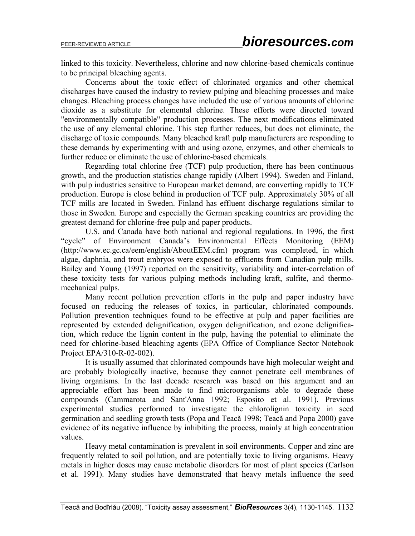linked to this toxicity. Nevertheless, chlorine and now chlorine-based chemicals continue to be principal bleaching agents.

Concerns about the toxic effect of chlorinated organics and other chemical discharges have caused the industry to review pulping and bleaching processes and make changes. Bleaching process changes have included the use of various amounts of chlorine dioxide as a substitute for elemental chlorine. These efforts were directed toward "environmentally compatible" production processes. The next modifications eliminated the use of any elemental chlorine. This step further reduces, but does not eliminate, the discharge of toxic compounds. Many bleached kraft pulp manufacturers are responding to these demands by experimenting with and using ozone, enzymes, and other chemicals to further reduce or eliminate the use of chlorine-based chemicals.

Regarding total chlorine free (TCF) pulp production, there has been continuous growth, and the production statistics change rapidly (Albert 1994). Sweden and Finland, with pulp industries sensitive to European market demand, are converting rapidly to TCF production. Europe is close behind in production of TCF pulp. Approximately 30% of all TCF mills are located in Sweden. Finland has effluent discharge regulations similar to those in Sweden. Europe and especially the German speaking countries are providing the greatest demand for chlorine-free pulp and paper products.

U.S. and Canada have both national and regional regulations. In 1996, the first "cycle" of Environment Canada's Environmental Effects Monitoring (EEM) (http://www.ec.gc.ca/eem/english/AboutEEM.cfm) program was completed, in which algae, daphnia, and trout embryos were exposed to effluents from Canadian pulp mills. Bailey and Young (1997) reported on the sensitivity, variability and inter-correlation of these toxicity tests for various pulping methods including kraft, sulfite, and thermomechanical pulps.

Many recent pollution prevention efforts in the pulp and paper industry have focused on reducing the releases of toxics, in particular, chlorinated compounds. Pollution prevention techniques found to be effective at pulp and paper facilities are represented by extended delignification, oxygen delignification, and ozone delignification, which reduce the lignin content in the pulp, having the potential to eliminate the need for chlorine-based bleaching agents (EPA Office of Compliance Sector Notebook Project EPA/310-R-02-002).

It is usually assumed that chlorinated compounds have high molecular weight and are probably biologically inactive, because they cannot penetrate cell membranes of living organisms. In the last decade research was based on this argument and an appreciable effort has been made to find microorganisms able to degrade these compounds (Cammarota and Sant'Anna 1992; Esposito et al. 1991). Previous experimental studies performed to investigate the chlorolignin toxicity in seed germination and seedling growth tests (Popa and Teacă 1998; Teacă and Popa 2000) gave evidence of its negative influence by inhibiting the process, mainly at high concentration values.

Heavy metal contamination is prevalent in soil environments. Copper and zinc are frequently related to soil pollution, and are potentially toxic to living organisms. Heavy metals in higher doses may cause metabolic disorders for most of plant species (Carlson et al. 1991). Many studies have demonstrated that heavy metals influence the seed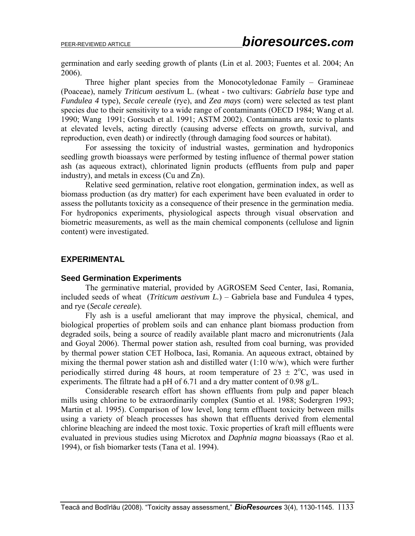germination and early seeding growth of plants (Lin et al. 2003; Fuentes et al. 2004; An 2006).

Three higher plant species from the Monocotyledonae Family – Gramineae (Poaceae), namely *Triticum aestivum* L. (wheat - two cultivars: *Gabriela base* type and *Fundulea 4* type), *Secale cereale* (rye), and *Zea mays* (corn) were selected as test plant species due to their sensitivity to a wide range of contaminants (OECD 1984; Wang et al. 1990; Wang 1991; Gorsuch et al. 1991; ASTM 2002). Contaminants are toxic to plants at elevated levels, acting directly (causing adverse effects on growth, survival, and reproduction, even death) or indirectly (through damaging food sources or habitat).

For assessing the toxicity of industrial wastes, germination and hydroponics seedling growth bioassays were performed by testing influence of thermal power station ash (as aqueous extract), chlorinated lignin products (effluents from pulp and paper industry), and metals in excess (Cu and Zn).

Relative seed germination, relative root elongation, germination index, as well as biomass production (as dry matter) for each experiment have been evaluated in order to assess the pollutants toxicity as a consequence of their presence in the germination media. For hydroponics experiments, physiological aspects through visual observation and biometric measurements, as well as the main chemical components (cellulose and lignin content) were investigated.

#### **EXPERIMENTAL**

#### **Seed Germination Experiments**

 The germinative material, provided by AGROSEM Seed Center, Iasi, Romania, included seeds of wheat (*Triticum aestivum L.*) – Gabriela base and Fundulea 4 types, and rye (*Secale cereale*).

Fly ash is a useful ameliorant that may improve the physical, chemical, and biological properties of problem soils and can enhance plant biomass production from degraded soils, being a source of readily available plant macro and micronutrients (Jala and Goyal 2006). Thermal power station ash, resulted from coal burning, was provided by thermal power station CET Holboca, Iasi, Romania. An aqueous extract, obtained by mixing the thermal power station ash and distilled water  $(1:10 \text{ w/w})$ , which were further periodically stirred during 48 hours, at room temperature of  $23 \pm 2$ °C, was used in experiments. The filtrate had a pH of 6.71 and a dry matter content of 0.98 g/L.

Considerable research effort has shown effluents from pulp and paper bleach mills using chlorine to be extraordinarily complex (Suntio et al. 1988; Sodergren 1993; Martin et al. 1995). Comparison of low level, long term effluent toxicity between mills using a variety of bleach processes has shown that effluents derived from elemental chlorine bleaching are indeed the most toxic. Toxic properties of kraft mill effluents were evaluated in previous studies using Microtox and *Daphnia magna* bioassays (Rao et al. 1994), or fish biomarker tests (Tana et al. 1994).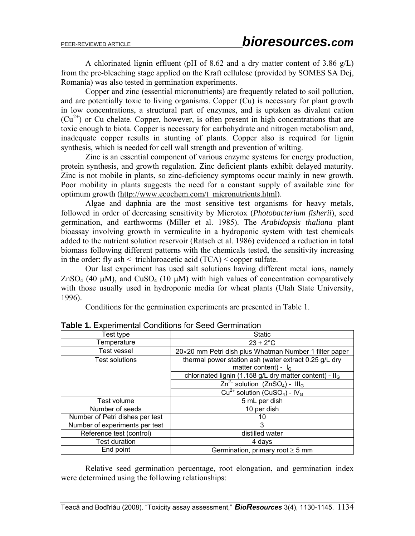A chlorinated lignin effluent (pH of 8.62 and a dry matter content of 3.86 g/L) from the pre-bleaching stage applied on the Kraft cellulose (provided by SOMES SA Dej, Romania) was also tested in germination experiments.

Copper and zinc (essential micronutrients) are frequently related to soil pollution, and are potentially toxic to living organisms. Copper (Cu) is necessary for plant growth in low concentrations, a structural part of enzymes, and is uptaken as divalent cation  $(Cu^{2+})$  or Cu chelate. Copper, however, is often present in high concentrations that are toxic enough to biota. Copper is necessary for carbohydrate and nitrogen metabolism and, inadequate copper results in stunting of plants. Copper also is required for lignin synthesis, which is needed for cell wall strength and prevention of wilting.

Zinc is an essential component of various enzyme systems for energy production, protein synthesis, and growth regulation. Zinc deficient plants exhibit delayed maturity. Zinc is not mobile in plants, so zinc-deficiency symptoms occur mainly in new growth. Poor mobility in plants suggests the need for a constant supply of available zinc for optimum growth (http://www.ecochem.com/t\_micronutrients.html).

Algae and daphnia are the most sensitive test organisms for heavy metals, followed in order of decreasing sensitivity by Microtox (*Photobacterium fisherii*), seed germination, and earthworms (Miller et al. 1985). The *Arabidopsis thaliana* plant bioassay involving growth in vermiculite in a hydroponic system with test chemicals added to the nutrient solution reservoir (Ratsch et al. 1986) evidenced a reduction in total biomass following different patterns with the chemicals tested, the sensitivity increasing in the order: fly ash  $\leq$  trichloroacetic acid (TCA)  $\leq$  copper sulfate.

Our last experiment has used salt solutions having different metal ions, namely  $ZnSO_4$  (40 μM), and  $CuSO_4$  (10 μM) with high values of concentration comparatively with those usually used in hydroponic media for wheat plants (Utah State University, 1996).

Conditions for the germination experiments are presented in Table 1.

| Test type                       | <b>Static</b>                                                         |
|---------------------------------|-----------------------------------------------------------------------|
| Temperature                     | $23 \pm 2^{\circ}$ C                                                  |
| Test vessel                     | 20×20 mm Petri dish plus Whatman Number 1 filter paper                |
| Test solutions                  | thermal power station ash (water extract 0.25 g/L dry                 |
|                                 | matter content) - $I_G$                                               |
|                                 | chlorinated lignin (1.158 g/L dry matter content) - Il <sub>G</sub>   |
|                                 | $\overline{Zn^{2+}}$ solution (ZnSO <sub>4</sub> ) - III <sub>G</sub> |
|                                 | $Cu^{2+}$ solution (CuSO <sub>4</sub> ) - IV <sub>G</sub>             |
| Test volume                     | 5 mL per dish                                                         |
| Number of seeds                 | 10 per dish                                                           |
| Number of Petri dishes per test | 10                                                                    |
| Number of experiments per test  | 3                                                                     |
| Reference test (control)        | distilled water                                                       |
| <b>Test duration</b>            | 4 days                                                                |
| End point                       | Germination, primary root $\geq$ 5 mm                                 |

**Table 1.** Experimental Conditions for Seed Germination

Relative seed germination percentage, root elongation, and germination index were determined using the following relationships: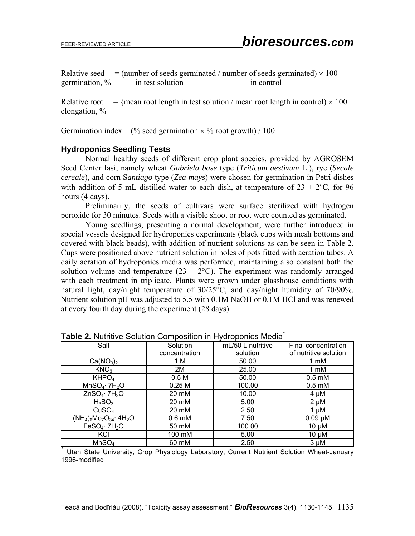Relative seed  $=$  (number of seeds germinated / number of seeds germinated)  $\times$  100 germination,  $\%$  in test solution in control

Relative root  $=$  {mean root length in test solution / mean root length in control)  $\times$  100 elongation, %

Germination index =  $\frac{0}{6}$  seed germination  $\times$  % root growth) / 100

#### **Hydroponics Seedling Tests**

Normal healthy seeds of different crop plant species, provided by AGROSEM Seed Center Iasi, namely wheat *Gabriela base* type (*Triticum aestivum* L.), rye (*Secale cereale*), and corn S*antiago* type (*Zea mays*) were chosen for germination in Petri dishes with addition of 5 mL distilled water to each dish, at temperature of  $23 \pm 2$ °C, for 96 hours (4 days).

Preliminarily, the seeds of cultivars were surface sterilized with hydrogen peroxide for 30 minutes. Seeds with a visible shoot or root were counted as germinated.

Young seedlings, presenting a normal development, were further introduced in special vessels designed for hydroponics experiments (black cups with mesh bottoms and covered with black beads), with addition of nutrient solutions as can be seen in Table 2. Cups were positioned above nutrient solution in holes of pots fitted with aeration tubes. A daily aeration of hydroponics media was performed, maintaining also constant both the solution volume and temperature ( $23 \pm 2$ °C). The experiment was randomly arranged with each treatment in triplicate. Plants were grown under glasshouse conditions with natural light, day/night temperature of 30/25°C, and day/night humidity of 70/90%. Nutrient solution pH was adjusted to 5.5 with 0.1M NaOH or 0.1M HCl and was renewed at every fourth day during the experiment (28 days).

| <b>TADIC 2.</b> INCLINIO ODIGIOIT OUTIDOSITIOIT III ITYGIOPOHIOS INICQIA |                   |                   |                       |  |  |  |  |
|--------------------------------------------------------------------------|-------------------|-------------------|-----------------------|--|--|--|--|
| Salt                                                                     | Solution          | mL/50 L nutritive | Final concentration   |  |  |  |  |
|                                                                          | concentration     | solution          | of nutritive solution |  |  |  |  |
| Ca(NO <sub>3</sub> ) <sub>2</sub>                                        | 1 M               | 50.00             | 1 mM                  |  |  |  |  |
| KNO <sub>3</sub>                                                         | 2M                | 25.00             | 1 mM                  |  |  |  |  |
| KHPO <sub>4</sub>                                                        | 0.5 <sub>M</sub>  | 50.00             | $0.5 \text{ mM}$      |  |  |  |  |
| $MnSO_4$ 7H <sub>2</sub> O                                               | 0.25 <sub>M</sub> | 100.00            | $0.5 \text{ mM}$      |  |  |  |  |
| $ZnSO_4$ 7H <sub>2</sub> O                                               | 20 mM             | 10.00             | $4 \mu M$             |  |  |  |  |
| $H_3BO_3$                                                                | 20 mM             | 5.00              | $2 \mu M$             |  |  |  |  |
| CuSO <sub>4</sub>                                                        | 20 mM             | 2.50              | $1 \mu M$             |  |  |  |  |
| $(NH_4)_6M_2O_{34}$ 4H <sub>2</sub> O                                    | $0.6$ mM          | 7.50              | $0.09 \mu M$          |  |  |  |  |
| FeSO <sub>4</sub> ·7H <sub>2</sub> O                                     | 50 mM             | 100.00            | $10 \mu M$            |  |  |  |  |
| KCI                                                                      | 100 mM            | 5.00              | $10 \mu M$            |  |  |  |  |
| MnSO <sub>4</sub>                                                        | 60 mM             | 2.50              | $3 \mu M$             |  |  |  |  |

**Table 2.** Nutritive Solution Composition in Hydroponics Media\*

Utah State University, Crop Physiology Laboratory, Current Nutrient Solution Wheat-January 1996-modified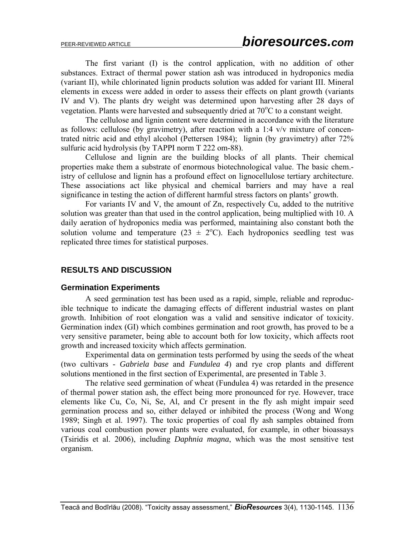The first variant (I) is the control application, with no addition of other substances. Extract of thermal power station ash was introduced in hydroponics media (variant II), while chlorinated lignin products solution was added for variant III. Mineral elements in excess were added in order to assess their effects on plant growth (variants IV and V). The plants dry weight was determined upon harvesting after 28 days of vegetation. Plants were harvested and subsequently dried at 70°C to a constant weight.

The cellulose and lignin content were determined in accordance with the literature as follows: cellulose (by gravimetry), after reaction with a 1:4 v/v mixture of concentrated nitric acid and ethyl alcohol (Pettersen 1984); lignin (by gravimetry) after 72% sulfuric acid hydrolysis (by TAPPI norm T 222 om-88).

Cellulose and lignin are the building blocks of all plants. Their chemical properties make them a substrate of enormous biotechnological value. The basic chem. istry of cellulose and lignin has a profound effect on lignocellulose tertiary architecture. These associations act like physical and chemical barriers and may have a real significance in testing the action of different harmful stress factors on plants' growth.

For variants IV and V, the amount of Zn, respectively Cu, added to the nutritive solution was greater than that used in the control application, being multiplied with 10. A daily aeration of hydroponics media was performed, maintaining also constant both the solution volume and temperature ( $23 \pm 2$ °C). Each hydroponics seedling test was replicated three times for statistical purposes.

#### **RESULTS AND DISCUSSION**

#### **Germination Experiments**

A seed germination test has been used as a rapid, simple, reliable and reproducible technique to indicate the damaging effects of different industrial wastes on plant growth. Inhibition of root elongation was a valid and sensitive indicator of toxicity. Germination index (GI) which combines germination and root growth, has proved to be a very sensitive parameter, being able to account both for low toxicity, which affects root growth and increased toxicity which affects germination.

Experimental data on germination tests performed by using the seeds of the wheat (two cultivars - *Gabriela base* and *Fundulea 4*) and rye crop plants and different solutions mentioned in the first section of Experimental, are presented in Table 3.

The relative seed germination of wheat (Fundulea 4) was retarded in the presence of thermal power station ash, the effect being more pronounced for rye. However, trace elements like Cu, Co, Ni, Se, Al, and Cr present in the fly ash might impair seed germination process and so, either delayed or inhibited the process (Wong and Wong 1989; Singh et al. 1997). The toxic properties of coal fly ash samples obtained from various coal combustion power plants were evaluated, for example, in other bioassays (Tsiridis et al. 2006), including *Daphnia magna*, which was the most sensitive test organism.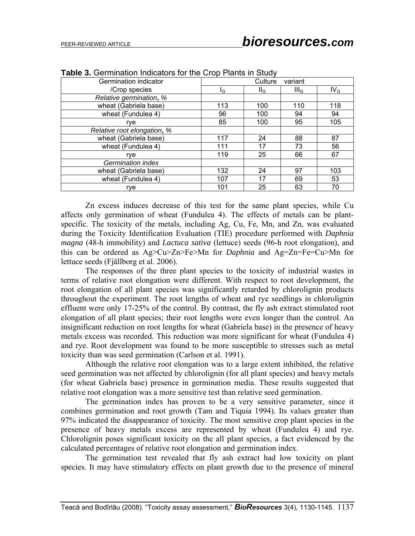| Germination indicator       |     | Culture<br>variant |                  |                 |  |
|-----------------------------|-----|--------------------|------------------|-----------------|--|
| /Crop species               | lG  | $II_G$             | III <sub>G</sub> | IV <sub>G</sub> |  |
| Relative germination, %     |     |                    |                  |                 |  |
| wheat (Gabriela base)       | 113 | 100                | 110              | 118             |  |
| wheat (Fundulea 4)          | 96  | 100                | 94               | 94              |  |
| rve                         | 85  | 100                | 95               | 105             |  |
| Relative root elongation, % |     |                    |                  |                 |  |
| wheat (Gabriela base)       | 117 | 24                 | 88               | 87              |  |
| wheat (Fundulea 4)          | 111 | 17                 | 73               | 56              |  |
| rye                         | 119 | 25                 | 66               | 67              |  |
| Germination index           |     |                    |                  |                 |  |
| wheat (Gabriela base)       | 132 | 24                 | 97               | 103             |  |
| wheat (Fundulea 4)          | 107 | 17                 | 69               | 53              |  |
| rye                         | 101 | 25                 | 63               | 70              |  |

**Table 3.** Germination Indicators for the Crop Plants in Study

Zn excess induces decrease of this test for the same plant species, while Cu affects only germination of wheat (Fundulea 4). The effects of metals can be plantspecific. The toxicity of the metals, including Ag, Cu, Fe, Mn, and Zn, was evaluated during the Toxicity Identification Evaluation (TIE) procedure performed with *Daphnia magna* (48-h immobility) and *Lactuca sativa* (lettuce) seeds (96-h root elongation), and this can be ordered as Ag>Cu>Zn>Fe>Mn for *Daphnia* and Ag=Zn=Fe=Cu>Mn for lettuce seeds (Fjällborg et al. 2006).

The responses of the three plant species to the toxicity of industrial wastes in terms of relative root elongation were different. With respect to root development, the root elongation of all plant species was significantly retarded by chlorolignin products throughout the experiment. The root lengths of wheat and rye seedlings in chlorolignin effluent were only 17-25% of the control. By contrast, the fly ash extract stimulated root elongation of all plant species; their root lengths were even longer than the control. An insignificant reduction on root lengths for wheat (Gabriela base) in the presence of heavy metals excess was recorded. This reduction was more significant for wheat (Fundulea 4) and rye. Root development was found to be more susceptible to stresses such as metal toxicity than was seed germination (Carlson et al. 1991).

Although the relative root elongation was to a large extent inhibited, the relative seed germination was not affected by chlorolignin (for all plant species) and heavy metals (for wheat Gabriela base) presence in germination media. These results suggested that relative root elongation was a more sensitive test than relative seed germination.

The germination index has proven to be a very sensitive parameter, since it combines germination and root growth (Tam and Tiquia 1994). Its values greater than 97% indicated the disappearance of toxicity. The most sensitive crop plant species in the presence of heavy metals excess are represented by wheat (Fundulea 4) and rye. Chlorolignin poses significant toxicity on the all plant species, a fact evidenced by the calculated percentages of relative root elongation and germination index.

The germination test revealed that fly ash extract had low toxicity on plant species. It may have stimulatory effects on plant growth due to the presence of mineral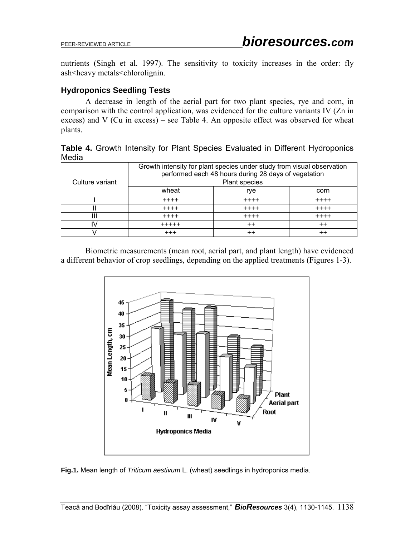nutrients (Singh et al. 1997). The sensitivity to toxicity increases in the order: fly ash<heavy metals<chlorolignin.

### **Hydroponics Seedling Tests**

A decrease in length of the aerial part for two plant species, rye and corn, in comparison with the control application, was evidenced for the culture variants IV (Zn in excess) and V (Cu in excess) – see Table 4. An opposite effect was observed for wheat plants.

|       |  |  |  |  | Table 4. Growth Intensity for Plant Species Evaluated in Different Hydroponics |  |
|-------|--|--|--|--|--------------------------------------------------------------------------------|--|
| Media |  |  |  |  |                                                                                |  |

|                 | Growth intensity for plant species under study from visual observation<br>performed each 48 hours during 28 days of vegetation |                 |                 |  |  |  |
|-----------------|--------------------------------------------------------------------------------------------------------------------------------|-----------------|-----------------|--|--|--|
| Culture variant | <b>Plant species</b>                                                                                                           |                 |                 |  |  |  |
|                 | wheat                                                                                                                          | rye             | corn            |  |  |  |
|                 | $+ + + +$                                                                                                                      | $+ + + +$       | $+ + + +$       |  |  |  |
|                 | $+ + + +$                                                                                                                      | $+ + + +$       | $++++$          |  |  |  |
| Ш               | $+ + + +$                                                                                                                      | $+ + + +$       | $++++$          |  |  |  |
| I٧              | $+ + + + +$                                                                                                                    | $^{\mathrm{+}}$ | $+ +$           |  |  |  |
|                 | $+ + +$                                                                                                                        | $^{\mathrm{+}}$ | $^{\mathrm{+}}$ |  |  |  |

Biometric measurements (mean root, aerial part, and plant length) have evidenced a different behavior of crop seedlings, depending on the applied treatments (Figures 1-3).



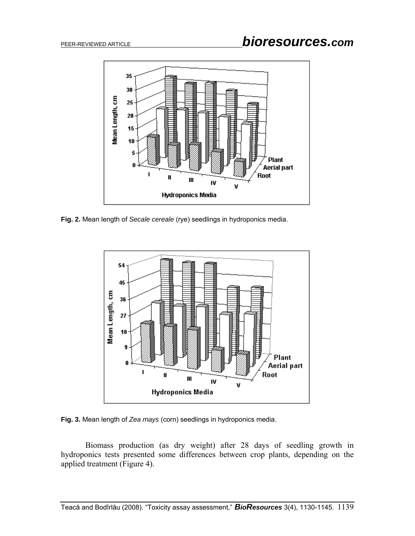

**Fig. 2.** Mean length of *Secale cereale* (rye) seedlings in hydroponics media.



**Fig. 3.** Mean length of *Zea mays* (corn) seedlings in hydroponics media.

Biomass production (as dry weight) after 28 days of seedling growth in hydroponics tests presented some differences between crop plants, depending on the applied treatment (Figure 4).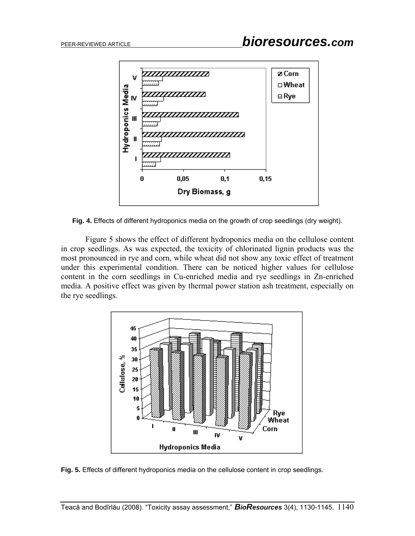

**Fig. 4.** Effects of different hydroponics media on the growth of crop seedlings (dry weight).

Figure 5 shows the effect of different hydroponics media on the cellulose content in crop seedlings. As was expected, the toxicity of chlorinated lignin products was the most pronounced in rye and corn, while wheat did not show any toxic effect of treatment under this experimental condition. There can be noticed higher values for cellulose content in the corn seedlings in Cu-enriched media and rye seedlings in Zn-enriched media. A positive effect was given by thermal power station ash treatment, especially on the rye seedlings.



**Fig. 5.** Effects of different hydroponics media on the cellulose content in crop seedlings.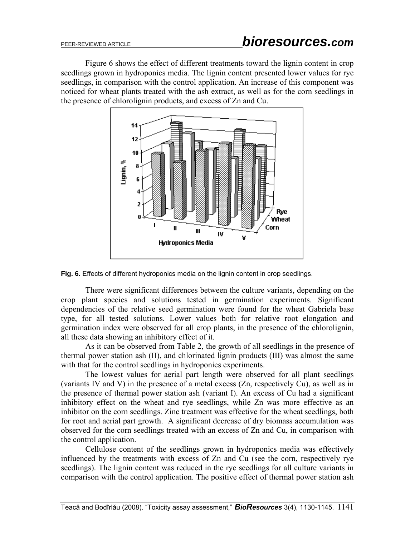Figure 6 shows the effect of different treatments toward the lignin content in crop seedlings grown in hydroponics media. The lignin content presented lower values for rye seedlings, in comparison with the control application. An increase of this component was noticed for wheat plants treated with the ash extract, as well as for the corn seedlings in the presence of chlorolignin products, and excess of Zn and Cu.



**Fig. 6.** Effects of different hydroponics media on the lignin content in crop seedlings.

There were significant differences between the culture variants, depending on the crop plant species and solutions tested in germination experiments. Significant dependencies of the relative seed germination were found for the wheat Gabriela base type, for all tested solutions. Lower values both for relative root elongation and germination index were observed for all crop plants, in the presence of the chlorolignin, all these data showing an inhibitory effect of it.

As it can be observed from Table 2, the growth of all seedlings in the presence of thermal power station ash (II), and chlorinated lignin products (III) was almost the same with that for the control seedlings in hydroponics experiments.

The lowest values for aerial part length were observed for all plant seedlings (variants IV and V) in the presence of a metal excess (Zn, respectively Cu), as well as in the presence of thermal power station ash (variant I). An excess of Cu had a significant inhibitory effect on the wheat and rye seedlings, while Zn was more effective as an inhibitor on the corn seedlings. Zinc treatment was effective for the wheat seedlings, both for root and aerial part growth. A significant decrease of dry biomass accumulation was observed for the corn seedlings treated with an excess of Zn and Cu, in comparison with the control application.

Cellulose content of the seedlings grown in hydroponics media was effectively influenced by the treatments with excess of Zn and Cu (see the corn, respectively rye seedlings). The lignin content was reduced in the rye seedlings for all culture variants in comparison with the control application. The positive effect of thermal power station ash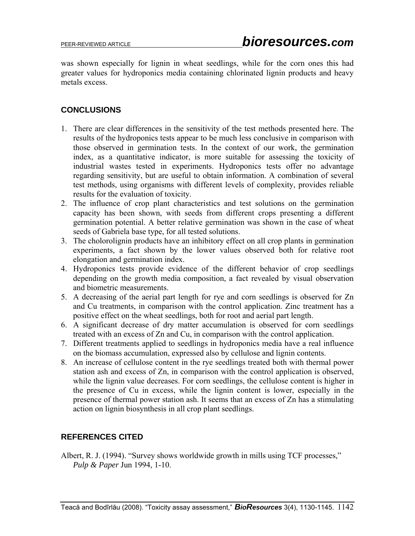was shown especially for lignin in wheat seedlings, while for the corn ones this had greater values for hydroponics media containing chlorinated lignin products and heavy metals excess.

### **CONCLUSIONS**

- 1. There are clear differences in the sensitivity of the test methods presented here. The results of the hydroponics tests appear to be much less conclusive in comparison with those observed in germination tests. In the context of our work, the germination index, as a quantitative indicator, is more suitable for assessing the toxicity of industrial wastes tested in experiments. Hydroponics tests offer no advantage regarding sensitivity, but are useful to obtain information. A combination of several test methods, using organisms with different levels of complexity, provides reliable results for the evaluation of toxicity.
- 2. The influence of crop plant characteristics and test solutions on the germination capacity has been shown, with seeds from different crops presenting a different germination potential. A better relative germination was shown in the case of wheat seeds of Gabriela base type, for all tested solutions.
- 3. The cholorolignin products have an inhibitory effect on all crop plants in germination experiments, a fact shown by the lower values observed both for relative root elongation and germination index.
- 4. Hydroponics tests provide evidence of the different behavior of crop seedlings depending on the growth media composition, a fact revealed by visual observation and biometric measurements.
- 5. A decreasing of the aerial part length for rye and corn seedlings is observed for Zn and Cu treatments, in comparison with the control application. Zinc treatment has a positive effect on the wheat seedlings, both for root and aerial part length.
- 6. A significant decrease of dry matter accumulation is observed for corn seedlings treated with an excess of Zn and Cu, in comparison with the control application.
- 7. Different treatments applied to seedlings in hydroponics media have a real influence on the biomass accumulation, expressed also by cellulose and lignin contents.
- 8. An increase of cellulose content in the rye seedlings treated both with thermal power station ash and excess of Zn, in comparison with the control application is observed, while the lignin value decreases. For corn seedlings, the cellulose content is higher in the presence of Cu in excess, while the lignin content is lower, especially in the presence of thermal power station ash. It seems that an excess of Zn has a stimulating action on lignin biosynthesis in all crop plant seedlings.

## **REFERENCES CITED**

Albert, R. J. (1994). "Survey shows worldwide growth in mills using TCF processes," *Pulp & Paper* Jun 1994, 1-10.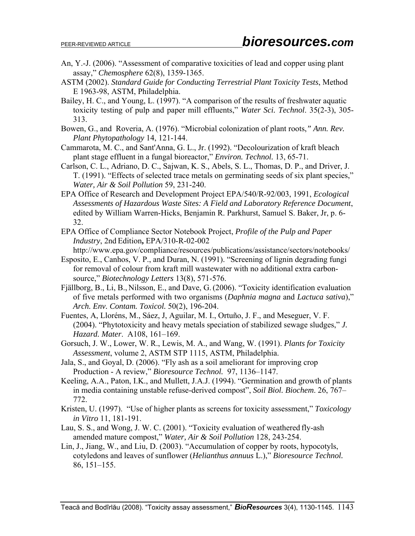- An, Y.-J. (2006). "Assessment of comparative toxicities of lead and copper using plant assay," *Chemosphere* 62(8), 1359-1365.
- ASTM (2002). *Standard Guide for Conducting Terrestrial Plant Toxicity Tests*, Method E 1963-98, ASTM, Philadelphia.
- Bailey, H. C., and Young, L. (1997). "A comparison of the results of freshwater aquatic toxicity testing of pulp and paper mill effluents," *Water Sci. Technol*. 35(2-3), 305- 313.
- Bowen, G., and Roveria, A. (1976). "Microbial colonization of plant roots,*" Ann. Rev. Plant Phytopathology* 14, 121-144.
- Cammarota, M. C., and Sant'Anna, G. L., Jr. (1992). "Decolourization of kraft bleach plant stage effluent in a fungal bioreactor," *Environ. Technol.* 13, 65-71.
- Carlson, C. L., Adriano, D. C., Sajwan, K. S., Abels, S. L., Thomas, D. P., and Driver, J. T. (1991). "Effects of selected trace metals on germinating seeds of six plant species," *Water, Air & Soil Pollution* 59, 231-240.
- EPA Office of Research and Development Project EPA/540/R-92/003, 1991, *Ecological Assessments of Hazardous Waste Sites: A Field and Laboratory Reference Document*, edited by William Warren-Hicks, Benjamin R. Parkhurst, Samuel S. Baker, Jr, p. 6- 32.
- EPA Office of Compliance Sector Notebook Project, *Profile of the Pulp and Paper Industry*, 2nd Edition**,** EPA/310-R-02-002

http://www.epa.gov/compliance/resources/publications/assistance/sectors/notebooks/

- Esposito, E., Canhos, V. P., and Duran, N. (1991). "Screening of lignin degrading fungi for removal of colour from kraft mill wastewater with no additional extra carbonsource," *Biotechnology Letters* 13(8), 571-576.
- Fjällborg, B., Li, B., Nilsson, E., and Dave, G. (2006). "Toxicity identification evaluation of five metals performed with two organisms (*Daphnia magna* and *Lactuca sativa*)," *Arch. Env. Contam. Toxicol.* 50(2), 196-204.
- Fuentes, A, Lloréns, M., Sáez, J, Aguilar, M. I., Ortuño, J. F., and Meseguer, V. F. (2004). "Phytotoxicity and heavy metals speciation of stabilized sewage sludges," *J. Hazard. Mater*. A108, 161–169.
- Gorsuch, J. W., Lower, W. R., Lewis, M. A., and Wang, W. (1991). *Plants for Toxicity Assessment*, volume 2, ASTM STP 1115, ASTM, Philadelphia.
- Jala, S., and Goyal, D. (2006). "Fly ash as a soil ameliorant for improving crop Production - A review," *Bioresource Technol.* 97, 1136–1147.
- Keeling, A.A., Paton, I.K., and Mullett, J.A.J. (1994). "Germination and growth of plants in media containing unstable refuse-derived compost", *Soil Biol. Biochem*. 26, 767– 772.
- Kristen, U. (1997). "Use of higher plants as screens for toxicity assessment," *Toxicology in Vitro* 11, 181-191.
- Lau, S. S., and Wong, J. W. C. (2001). "Toxicity evaluation of weathered fly-ash amended mature compost," *Water, Air & Soil Pollution* 128, 243-254.
- Lin, J., Jiang, W., and Liu, D. (2003). "Accumulation of copper by roots, hypocotyls, cotyledons and leaves of sunflower (*Helianthus annuus* L.)," *Bioresource Technol.* 86, 151–155.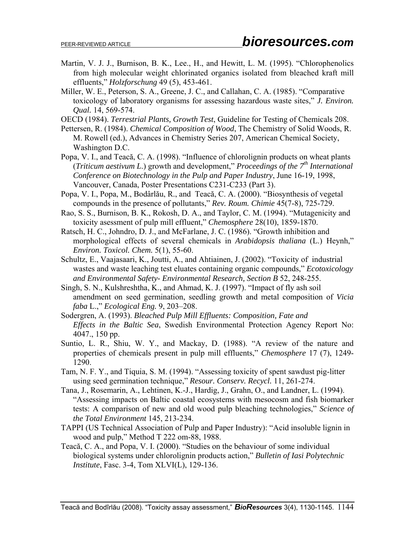- Martin, V. J. J., Burnison, B. K., Lee., H., and Hewitt, L. M. (1995). "Chlorophenolics from high molecular weight chlorinated organics isolated from bleached kraft mill effluents," *Holzforschung* 49 (5), 453-461.
- Miller, W. E., Peterson, S. A., Greene, J. C., and Callahan, C. A. (1985). "Comparative toxicology of laboratory organisms for assessing hazardous waste sites," *J. Environ. Qual.* 14, 569-574.

OECD (1984). *Terrestrial Plants, Growth Test*, Guideline for Testing of Chemicals 208.

- Pettersen, R. (1984). *Chemical Composition of Wood*, The Chemistry of Solid Woods, R. M. Rowell (ed.), Advances in Chemistry Series 207, American Chemical Society, Washington D.C.
- Popa, V. I., and Teacă, C. A. (1998). "Influence of chlorolignin products on wheat plants (*Triticum aestivum L*.) growth and development," *Proceedings of the 7th International Conference on Biotechnology in the Pulp and Paper Industry*, June 16-19, 1998, Vancouver, Canada, Poster Presentations C231-C233 (Part 3).
- Popa, V. I., Popa, M., Bodârlău, R., and Teacă, C. A. (2000). "Biosynthesis of vegetal compounds in the presence of pollutants," *Rev. Roum. Chimie* 45(7-8), 725-729.
- Rao, S. S., Burnison, B. K., Rokosh, D. A., and Taylor, C. M. (1994). "Mutagenicity and toxicity asessment of pulp mill effluent," *Chemosphere* 28(10), 1859-1870.
- Ratsch, H. C., Johndro, D. J., and McFarlane, J. C. (1986). "Growth inhibition and morphological effects of several chemicals in *Arabidopsis thaliana* (L.) Heynh," *Environ. Toxicol. Chem.* 5(1), 55-60.
- Schultz, E., Vaajasaari, K., Joutti, A., and Ahtiainen, J. (2002). "Toxicity of industrial wastes and waste leaching test eluates containing organic compounds," *Ecotoxicology and Environmental Safety- Environmental Research, Section B* 52, 248-255.
- Singh, S. N., Kulshreshtha, K., and Ahmad, K. J. (1997). "Impact of fly ash soil amendment on seed germination, seedling growth and metal composition of *Vicia faba* L.," *Ecological Eng.* 9, 203–208.
- Sodergren, A. (1993). *Bleached Pulp Mill Effluents: Composition, Fate and Effects in the Baltic Sea*, Swedish Environmental Protection Agency Report No: 4047., 150 pp.
- Suntio, L. R., Shiu, W. Y., and Mackay, D. (1988). "A review of the nature and properties of chemicals present in pulp mill effluents," *Chemosphere* 17 (7), 1249- 1290.
- Tam, N. F. Y., and Tiquia, S. M. (1994). "Assessing toxicity of spent sawdust pig-litter using seed germination technique," *Resour. Conserv. Recycl.* 11, 261-274.
- Tana, J., Rosemarin, A., Lehtinen, K.-J., Hardig, J., Grahn, O., and Landner, L. (1994). "Assessing impacts on Baltic coastal ecosystems with mesocosm and fish biomarker tests: A comparison of new and old wood pulp bleaching technologies," *Science of the Total Environment* 145, 213-234.
- TAPPI (US Technical Association of Pulp and Paper Industry): "Acid insoluble lignin in wood and pulp," Method T 222 om-88, 1988.
- Teacă, C. A., and Popa, V. I. (2000). "Studies on the behaviour of some individual biological systems under chlorolignin products action," *Bulletin of Iasi Polytechnic Institute*, Fasc. 3-4, Tom XLVI(L), 129-136.